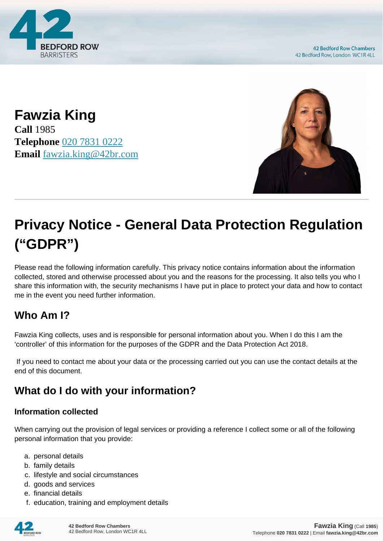

**Fawzia King Call** 1985 **Telephone** [020 7831 0222](https://pdf.codeshore.co/_42br/tel:020 7831 0222) **Email** [fawzia.king@42br.com](mailto:fawzia.king@42br.com)



# **Privacy Notice - General Data Protection Regulation ("GDPR")**

Please read the following information carefully. This privacy notice contains information about the information collected, stored and otherwise processed about you and the reasons for the processing. It also tells you who I share this information with, the security mechanisms I have put in place to protect your data and how to contact me in the event you need further information.

# **Who Am I?**

Fawzia King collects, uses and is responsible for personal information about you. When I do this I am the 'controller' of this information for the purposes of the GDPR and the Data Protection Act 2018.

 If you need to contact me about your data or the processing carried out you can use the contact details at the end of this document.

# **What do I do with your information?**

#### **Information collected**

When carrying out the provision of legal services or providing a reference I collect some or all of the following personal information that you provide:

- a. personal details
- b. family details
- c. lifestyle and social circumstances
- d. goods and services
- e. financial details
- f. education, training and employment details

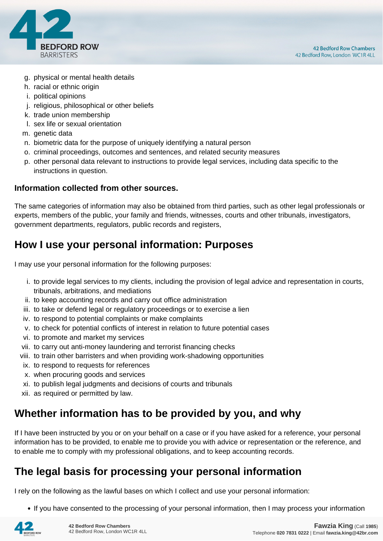

- g. physical or mental health details
- h. racial or ethnic origin
- i. political opinions
- j. religious, philosophical or other beliefs
- k. trade union membership
- l. sex life or sexual orientation
- m. genetic data
- n. biometric data for the purpose of uniquely identifying a natural person
- o. criminal proceedings, outcomes and sentences, and related security measures
- p. other personal data relevant to instructions to provide legal services, including data specific to the instructions in question.

#### **Information collected from other sources.**

The same categories of information may also be obtained from third parties, such as other legal professionals or experts, members of the public, your family and friends, witnesses, courts and other tribunals, investigators, government departments, regulators, public records and registers,

## **How I use your personal information: Purposes**

I may use your personal information for the following purposes:

- i. to provide legal services to my clients, including the provision of legal advice and representation in courts, tribunals, arbitrations, and mediations
- ii. to keep accounting records and carry out office administration
- iii. to take or defend legal or regulatory proceedings or to exercise a lien
- iv. to respond to potential complaints or make complaints
- v. to check for potential conflicts of interest in relation to future potential cases
- vi. to promote and market my services
- vii. to carry out anti-money laundering and terrorist financing checks
- viii. to train other barristers and when providing work-shadowing opportunities
- ix. to respond to requests for references
- x. when procuring goods and services
- xi. to publish legal judgments and decisions of courts and tribunals
- xii. as required or permitted by law.

## **Whether information has to be provided by you, and why**

If I have been instructed by you or on your behalf on a case or if you have asked for a reference, your personal information has to be provided, to enable me to provide you with advice or representation or the reference, and to enable me to comply with my professional obligations, and to keep accounting records.

## **The legal basis for processing your personal information**

I rely on the following as the lawful bases on which I collect and use your personal information:

• If you have consented to the processing of your personal information, then I may process your information

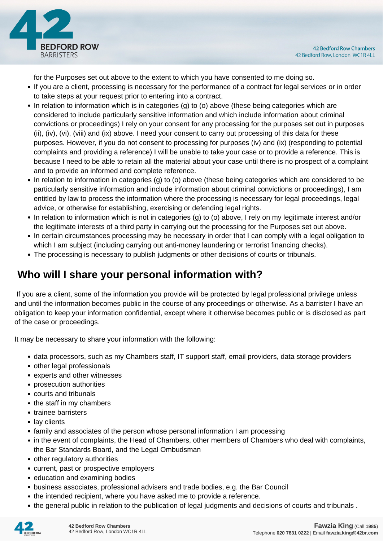

for the Purposes set out above to the extent to which you have consented to me doing so.

- If you are a client, processing is necessary for the performance of a contract for legal services or in order to take steps at your request prior to entering into a contract.
- In relation to information which is in categories (g) to (o) above (these being categories which are considered to include particularly sensitive information and which include information about criminal convictions or proceedings) I rely on your consent for any processing for the purposes set out in purposes (ii), (iv), (vi), (viii) and (ix) above. I need your consent to carry out processing of this data for these purposes. However, if you do not consent to processing for purposes (iv) and (ix) (responding to potential complaints and providing a reference) I will be unable to take your case or to provide a reference. This is because I need to be able to retain all the material about your case until there is no prospect of a complaint and to provide an informed and complete reference.
- In relation to information in categories (g) to (o) above (these being categories which are considered to be particularly sensitive information and include information about criminal convictions or proceedings), I am entitled by law to process the information where the processing is necessary for legal proceedings, legal advice, or otherwise for establishing, exercising or defending legal rights.
- In relation to information which is not in categories (g) to (o) above, I rely on my legitimate interest and/or the legitimate interests of a third party in carrying out the processing for the Purposes set out above.
- In certain circumstances processing may be necessary in order that I can comply with a legal obligation to which I am subject (including carrying out anti-money laundering or terrorist financing checks).
- The processing is necessary to publish judgments or other decisions of courts or tribunals.

# **Who will I share your personal information with?**

 If you are a client, some of the information you provide will be protected by legal professional privilege unless and until the information becomes public in the course of any proceedings or otherwise. As a barrister I have an obligation to keep your information confidential, except where it otherwise becomes public or is disclosed as part of the case or proceedings.

It may be necessary to share your information with the following:

- data processors, such as my Chambers staff, IT support staff, email providers, data storage providers
- other legal professionals
- experts and other witnesses
- prosecution authorities
- courts and tribunals
- the staff in my chambers
- trainee barristers
- lay clients
- family and associates of the person whose personal information I am processing
- in the event of complaints, the Head of Chambers, other members of Chambers who deal with complaints, the Bar Standards Board, and the Legal Ombudsman
- other regulatory authorities
- current, past or prospective employers
- education and examining bodies
- business associates, professional advisers and trade bodies, e.g. the Bar Council
- the intended recipient, where you have asked me to provide a reference.
- the general public in relation to the publication of legal judgments and decisions of courts and tribunals .

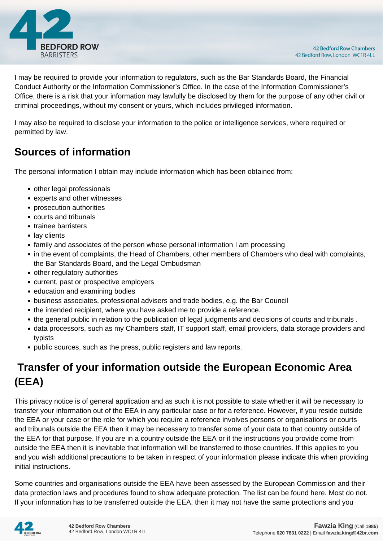

I may be required to provide your information to regulators, such as the Bar Standards Board, the Financial Conduct Authority or the Information Commissioner's Office. In the case of the Information Commissioner's Office, there is a risk that your information may lawfully be disclosed by them for the purpose of any other civil or criminal proceedings, without my consent or yours, which includes privileged information.

I may also be required to disclose your information to the police or intelligence services, where required or permitted by law.

# **Sources of information**

The personal information I obtain may include information which has been obtained from:

- other legal professionals
- experts and other witnesses
- prosecution authorities
- courts and tribunals
- trainee barristers
- lay clients
- family and associates of the person whose personal information I am processing
- in the event of complaints, the Head of Chambers, other members of Chambers who deal with complaints, the Bar Standards Board, and the Legal Ombudsman
- other regulatory authorities
- current, past or prospective employers
- education and examining bodies
- business associates, professional advisers and trade bodies, e.g. the Bar Council
- the intended recipient, where you have asked me to provide a reference.
- the general public in relation to the publication of legal judgments and decisions of courts and tribunals .
- data processors, such as my Chambers staff, IT support staff, email providers, data storage providers and typists
- public sources, such as the press, public registers and law reports.

# **Transfer of your information outside the European Economic Area (EEA)**

This privacy notice is of general application and as such it is not possible to state whether it will be necessary to transfer your information out of the EEA in any particular case or for a reference. However, if you reside outside the EEA or your case or the role for which you require a reference involves persons or organisations or courts and tribunals outside the EEA then it may be necessary to transfer some of your data to that country outside of the EEA for that purpose. If you are in a country outside the EEA or if the instructions you provide come from outside the EEA then it is inevitable that information will be transferred to those countries. If this applies to you and you wish additional precautions to be taken in respect of your information please indicate this when providing initial instructions.

Some countries and organisations outside the EEA have been assessed by the European Commission and their data protection laws and procedures found to show adequate protection. The list can be found here. Most do not. If your information has to be transferred outside the EEA, then it may not have the same protections and you

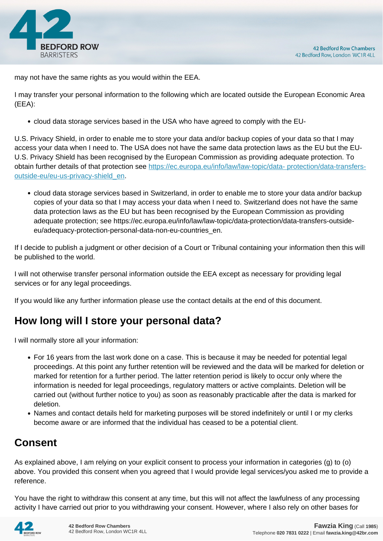

may not have the same rights as you would within the EEA.

I may transfer your personal information to the following which are located outside the European Economic Area (EEA):

cloud data storage services based in the USA who have agreed to comply with the EU-

U.S. Privacy Shield, in order to enable me to store your data and/or backup copies of your data so that I may access your data when I need to. The USA does not have the same data protection laws as the EU but the EU-U.S. Privacy Shield has been recognised by the European Commission as providing adequate protection. To obtain further details of that protection see [https://ec.europa.eu/info/law/law-topic/data- protection/data-transfers](https://ec.europa.eu/info/law/law-topic/data- protection/data-transfers-outside-eu/eu-us-privacy-shield_en)[outside-eu/eu-us-privacy-shield\\_en.](https://ec.europa.eu/info/law/law-topic/data- protection/data-transfers-outside-eu/eu-us-privacy-shield_en)

cloud data storage services based in Switzerland, in order to enable me to store your data and/or backup copies of your data so that I may access your data when I need to. Switzerland does not have the same data protection laws as the EU but has been recognised by the European Commission as providing adequate protection; see https://ec.europa.eu/info/law/law-topic/data-protection/data-transfers-outsideeu/adequacy-protection-personal-data-non-eu-countries\_en.

If I decide to publish a judgment or other decision of a Court or Tribunal containing your information then this will be published to the world.

I will not otherwise transfer personal information outside the EEA except as necessary for providing legal services or for any legal proceedings.

If you would like any further information please use the contact details at the end of this document.

# **How long will I store your personal data?**

I will normally store all your information:

- For 16 years from the last work done on a case. This is because it may be needed for potential legal proceedings. At this point any further retention will be reviewed and the data will be marked for deletion or marked for retention for a further period. The latter retention period is likely to occur only where the information is needed for legal proceedings, regulatory matters or active complaints. Deletion will be carried out (without further notice to you) as soon as reasonably practicable after the data is marked for deletion.
- Names and contact details held for marketing purposes will be stored indefinitely or until I or my clerks become aware or are informed that the individual has ceased to be a potential client.

# **Consent**

As explained above, I am relying on your explicit consent to process your information in categories (g) to (o) above. You provided this consent when you agreed that I would provide legal services/you asked me to provide a reference.

You have the right to withdraw this consent at any time, but this will not affect the lawfulness of any processing activity I have carried out prior to you withdrawing your consent. However, where I also rely on other bases for

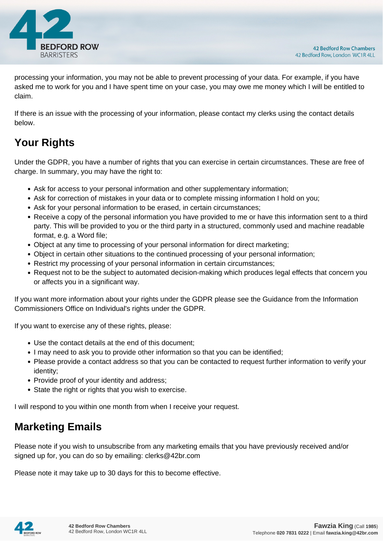

processing your information, you may not be able to prevent processing of your data. For example, if you have asked me to work for you and I have spent time on your case, you may owe me money which I will be entitled to claim.

If there is an issue with the processing of your information, please contact my clerks using the contact details below.

# **Your Rights**

Under the GDPR, you have a number of rights that you can exercise in certain circumstances. These are free of charge. In summary, you may have the right to:

- Ask for access to your personal information and other supplementary information;
- Ask for correction of mistakes in your data or to complete missing information I hold on you;
- Ask for your personal information to be erased, in certain circumstances;
- Receive a copy of the personal information you have provided to me or have this information sent to a third party. This will be provided to you or the third party in a structured, commonly used and machine readable format, e.g. a Word file;
- Object at any time to processing of your personal information for direct marketing;
- Object in certain other situations to the continued processing of your personal information;
- Restrict my processing of your personal information in certain circumstances;
- Request not to be the subject to automated decision-making which produces legal effects that concern you or affects you in a significant way.

If you want more information about your rights under the GDPR please see the Guidance from the Information Commissioners Office on Individual's rights under the GDPR.

If you want to exercise any of these rights, please:

- Use the contact details at the end of this document;
- I may need to ask you to provide other information so that you can be identified;
- Please provide a contact address so that you can be contacted to request further information to verify your identity;
- Provide proof of your identity and address;
- State the right or rights that you wish to exercise.

I will respond to you within one month from when I receive your request.

## **Marketing Emails**

Please note if you wish to unsubscribe from any marketing emails that you have previously received and/or signed up for, you can do so by emailing: clerks@42br.com

Please note it may take up to 30 days for this to become effective.